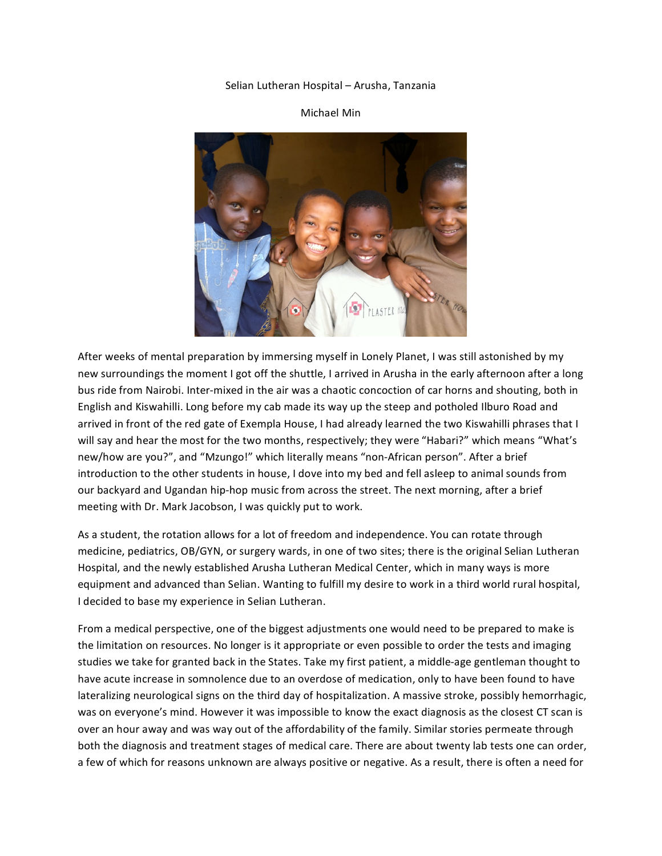## Selian
Lutheran
Hospital
–
Arusha,
Tanzania

## Michael
Min



After weeks of mental preparation by immersing myself in Lonely Planet, I was still astonished by my new surroundings the moment I got off the shuttle, I arrived in Arusha in the early afternoon after a long bus ride from Nairobi. Inter-mixed in the air was a chaotic concoction of car horns and shouting, both in English
and
Kiswahilli.
Long
before
my
cab
made
its
way
up
the
steep
and
potholed
Ilburo
Road
and arrived in front of the red gate of Exempla House, I had already learned the two Kiswahilli phrases that I will say and hear the most for the two months, respectively; they were "Habari?" which means "What's new/how are you?", and "Mzungo!" which literally means "non-African person". After a brief introduction to the other students in house, I dove into my bed and fell asleep to animal sounds from our backyard and Ugandan hip-hop music from across the street. The next morning, after a brief meeting
with
Dr.
Mark
Jacobson,
I
was
quickly
put
to
work.

As a student, the rotation allows for a lot of freedom and independence. You can rotate through medicine, pediatrics, OB/GYN, or surgery wards, in one of two sites; there is the original Selian Lutheran Hospital, and the newly established Arusha Lutheran Medical Center, which in many ways is more equipment and advanced than Selian. Wanting to fulfill my desire to work in a third world rural hospital, I
decided
to
base
my
experience
in
Selian
Lutheran.

From a medical perspective, one of the biggest adjustments one would need to be prepared to make is the limitation on resources. No longer is it appropriate or even possible to order the tests and imaging studies we take for granted back in the States. Take my first patient, a middle-age gentleman thought to have acute increase in somnolence due to an overdose of medication, only to have been found to have lateralizing neurological signs on the third day of hospitalization. A massive stroke, possibly hemorrhagic, was on everyone's mind. However it was impossible to know the exact diagnosis as the closest CT scan is over an hour away and was way out of the affordability of the family. Similar stories permeate through both the diagnosis and treatment stages of medical care. There are about twenty lab tests one can order, a few of which for reasons unknown are always positive or negative. As a result, there is often a need for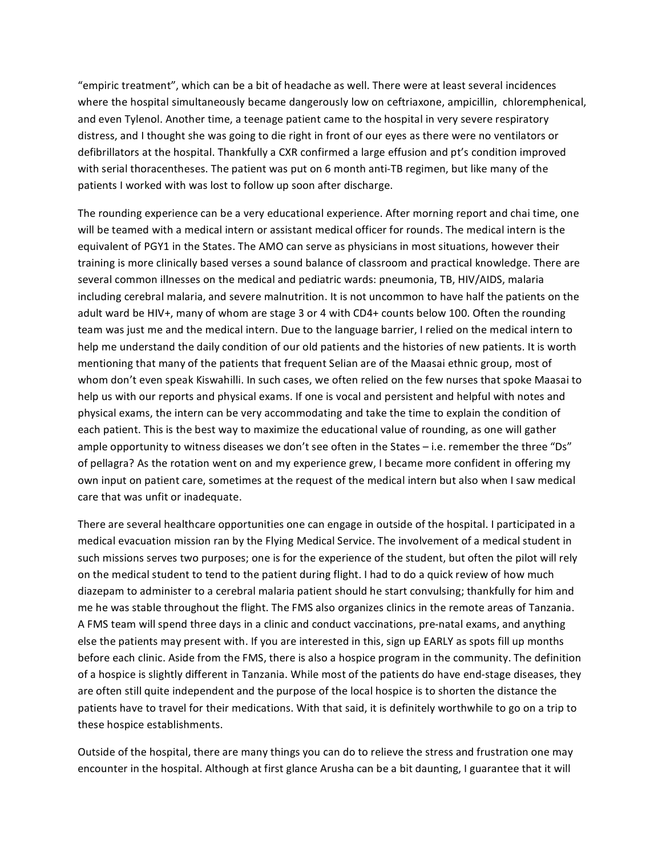"empiric
treatment",
which
can
be
a
bit
of
headache
as
well.
There
were
at
least
several
incidences where the hospital simultaneously became dangerously low on ceftriaxone, ampicillin, chloremphenical, and even Tylenol. Another time, a teenage patient came to the hospital in very severe respiratory distress, and I thought she was going to die right in front of our eyes as there were no ventilators or defibrillators at the hospital. Thankfully a CXR confirmed a large effusion and pt's condition improved with serial thoracentheses. The patient was put on 6 month anti-TB regimen, but like many of the patients
I
worked
with
was
lost
to
follow
up
soon
after
discharge.

The
rounding
experience
can
be
a
very
educational
experience.
After
morning
report
and
chai
time,
one will be teamed with a medical intern or assistant medical officer for rounds. The medical intern is the equivalent of PGY1 in the States. The AMO can serve as physicians in most situations, however their training is more clinically based verses a sound balance of classroom and practical knowledge. There are several common illnesses on the medical and pediatric wards: pneumonia, TB, HIV/AIDS, malaria including cerebral malaria, and severe malnutrition. It is not uncommon to have half the patients on the adult ward be HIV+, many of whom are stage 3 or 4 with CD4+ counts below 100. Often the rounding team was just me and the medical intern. Due to the language barrier, I relied on the medical intern to help me understand the daily condition of our old patients and the histories of new patients. It is worth mentioning that many of the patients that frequent Selian are of the Maasai ethnic group, most of whom don't even speak Kiswahilli. In such cases, we often relied on the few nurses that spoke Maasai to help us with our reports and physical exams. If one is vocal and persistent and helpful with notes and physical
exams,
the
intern
can
be
very
accommodating
and
take
the
time
to
explain
the
condition
of each patient. This is the best way to maximize the educational value of rounding, as one will gather ample opportunity to witness diseases we don't see often in the States - i.e. remember the three "Ds" of pellagra? As the rotation went on and my experience grew, I became more confident in offering my own input on patient care, sometimes at the request of the medical intern but also when I saw medical care
that
was
unfit
or
inadequate.

There
are
several
healthcare
opportunities
one
can
engage
in
outside
of
the
hospital.
I
participated
in
a medical evacuation mission ran by the Flying Medical Service. The involvement of a medical student in such missions serves two purposes; one is for the experience of the student, but often the pilot will rely on the medical student to tend to the patient during flight. I had to do a quick review of how much diazepam to administer to a cerebral malaria patient should he start convulsing; thankfully for him and me he was stable throughout the flight. The FMS also organizes clinics in the remote areas of Tanzania. A FMS team will spend three days in a clinic and conduct vaccinations, pre-natal exams, and anything else the patients may present with. If you are interested in this, sign up EARLY as spots fill up months before each clinic. Aside from the FMS, there is also a hospice program in the community. The definition of a hospice is slightly different in Tanzania. While most of the patients do have end-stage diseases, they are
often
still
quite
independent
and
the
purpose
of
the
local
hospice
is
to
shorten
the
distance
the patients have to travel for their medications. With that said, it is definitely worthwhile to go on a trip to these
hospice
establishments.

Outside of the hospital, there are many things you can do to relieve the stress and frustration one may encounter in the hospital. Although at first glance Arusha can be a bit daunting, I guarantee that it will